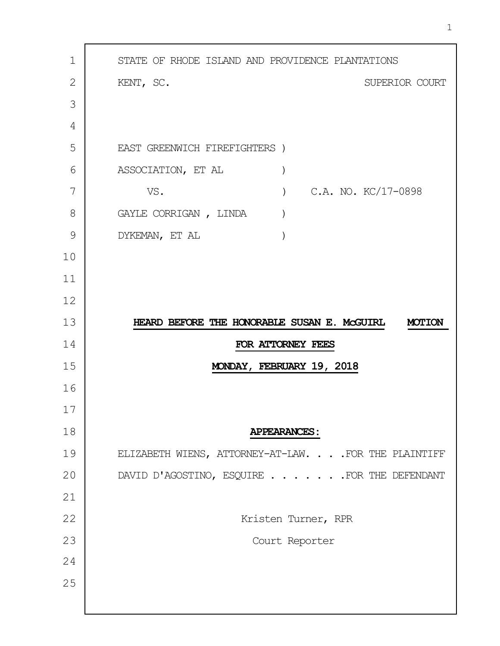| $\mathbf 1$                      | STATE OF RHODE ISLAND AND PROVIDENCE PLANTATIONS             |
|----------------------------------|--------------------------------------------------------------|
| 2                                | KENT, SC.<br>SUPERIOR COURT                                  |
| 3                                |                                                              |
| 4                                |                                                              |
| 5                                | EAST GREENWICH FIREFIGHTERS )                                |
| 6                                | ASSOCIATION, ET AL<br>$\mathcal{E}$                          |
| 7                                | C.A. NO. KC/17-0898<br>VS.<br>$\left( \right)$               |
| 8                                | GAYLE CORRIGAN, LINDA                                        |
| 9                                | DYKEMAN, ET AL                                               |
| 10                               |                                                              |
| 11                               |                                                              |
| 12                               |                                                              |
| 13                               | HEARD BEFORE THE HONORABLE SUSAN E. MCGUIRL<br><b>MOTION</b> |
| 14                               | FOR ATTORNEY FEES                                            |
| 15                               | MONDAY, FEBRUARY 19, 2018                                    |
| 16                               |                                                              |
| 17                               |                                                              |
|                                  |                                                              |
|                                  | <b>APPEARANCES:</b>                                          |
|                                  | ELIZABETH WIENS, ATTORNEY-AT-LAW. FOR THE PLAINTIFF          |
|                                  | DAVID D'AGOSTINO, ESQUIRE FOR THE DEFENDANT                  |
|                                  |                                                              |
|                                  | Kristen Turner, RPR                                          |
| 18<br>19<br>20<br>21<br>22<br>23 | Court Reporter                                               |
| 24                               |                                                              |
| 25                               |                                                              |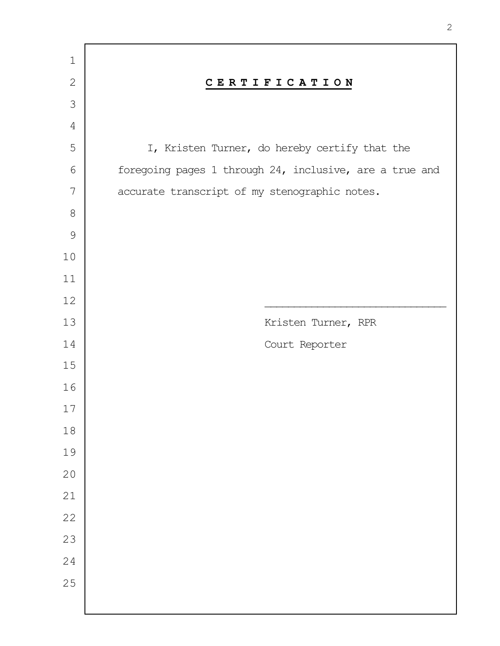| $\mathbf 1$   |                                                         |
|---------------|---------------------------------------------------------|
| $\mathbf{2}$  | CERTIFICATION                                           |
| 3             |                                                         |
| $\sqrt{4}$    |                                                         |
| 5             | I, Kristen Turner, do hereby certify that the           |
| $\sqrt{6}$    | foregoing pages 1 through 24, inclusive, are a true and |
| 7             | accurate transcript of my stenographic notes.           |
| $8\,$         |                                                         |
| $\mathcal{G}$ |                                                         |
| $10$          |                                                         |
| $11$          |                                                         |
| 12            |                                                         |
| 13            | Kristen Turner, RPR                                     |
| 14            | Court Reporter                                          |
| 15            |                                                         |
| 16            |                                                         |
| $17$          |                                                         |
| $18\,$        |                                                         |
| 19            |                                                         |
| 20            |                                                         |
| 21            |                                                         |
| 22            |                                                         |
| 23            |                                                         |
| 24            |                                                         |
| 25            |                                                         |
|               |                                                         |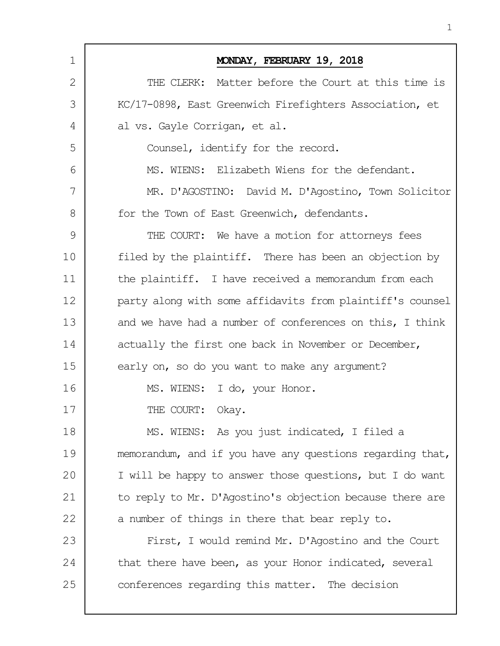| 1  | MONDAY, FEBRUARY 19, 2018                                 |
|----|-----------------------------------------------------------|
| 2  | THE CLERK: Matter before the Court at this time is        |
| 3  | KC/17-0898, East Greenwich Firefighters Association, et   |
| 4  | al vs. Gayle Corrigan, et al.                             |
| 5  | Counsel, identify for the record.                         |
| 6  | MS. WIENS: Elizabeth Wiens for the defendant.             |
| 7  | MR. D'AGOSTINO: David M. D'Agostino, Town Solicitor       |
| 8  | for the Town of East Greenwich, defendants.               |
| 9  | THE COURT: We have a motion for attorneys fees            |
| 10 | filed by the plaintiff. There has been an objection by    |
| 11 | the plaintiff. I have received a memorandum from each     |
| 12 | party along with some affidavits from plaintiff's counsel |
| 13 | and we have had a number of conferences on this, I think  |
| 14 | actually the first one back in November or December,      |
| 15 | early on, so do you want to make any arqument?            |
| 16 | MS. WIENS: I do, your Honor.                              |
| 17 | THE COURT: Okay.                                          |
| 18 | MS. WIENS: As you just indicated, I filed a               |
| 19 | memorandum, and if you have any questions regarding that, |
| 20 | I will be happy to answer those questions, but I do want  |
| 21 | to reply to Mr. D'Agostino's objection because there are  |
| 22 | a number of things in there that bear reply to.           |
| 23 | First, I would remind Mr. D'Agostino and the Court        |
| 24 | that there have been, as your Honor indicated, several    |
| 25 | conferences regarding this matter. The decision           |
|    |                                                           |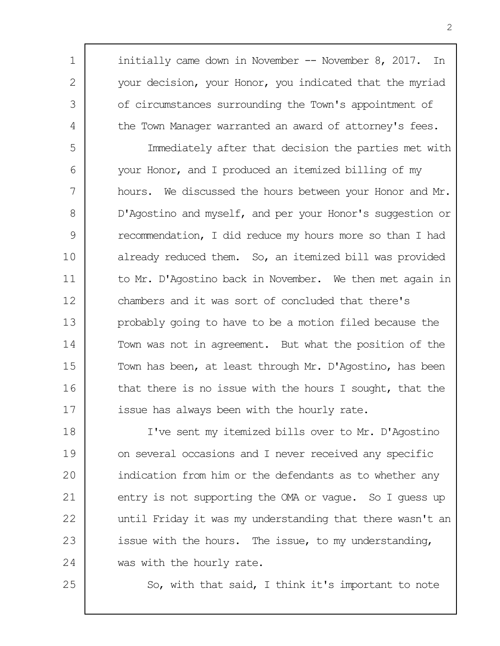initially came down in November -- November 8, 2017. In your decision, your Honor, you indicated that the myriad of circumstances surrounding the Town's appointment of the Town Manager warranted an award of attorney's fees.

5 6 7 8  $\mathsf{Q}$ 10 11 12 13 14 15 16 17 Immediately after that decision the parties met with your Honor, and I produced an itemized billing of my hours. We discussed the hours between your Honor and Mr. D'Agostino and myself, and per your Honor's suggestion or recommendation, I did reduce my hours more so than I had already reduced them. So, an itemized bill was provided to Mr. D'Agostino back in November. We then met again in chambers and it was sort of concluded that there's probably going to have to be a motion filed because the Town was not in agreement. But what the position of the Town has been, at least through Mr. D'Agostino, has been that there is no issue with the hours I sought, that the issue has always been with the hourly rate.

18 19 20 21 22 23 24 I've sent my itemized bills over to Mr. D'Agostino on several occasions and I never received any specific indication from him or the defendants as to whether any entry is not supporting the OMA or vague. So I guess up until Friday it was my understanding that there wasn't an issue with the hours. The issue, to my understanding, was with the hourly rate.

25

1

2

3

4

So, with that said, I think it's important to note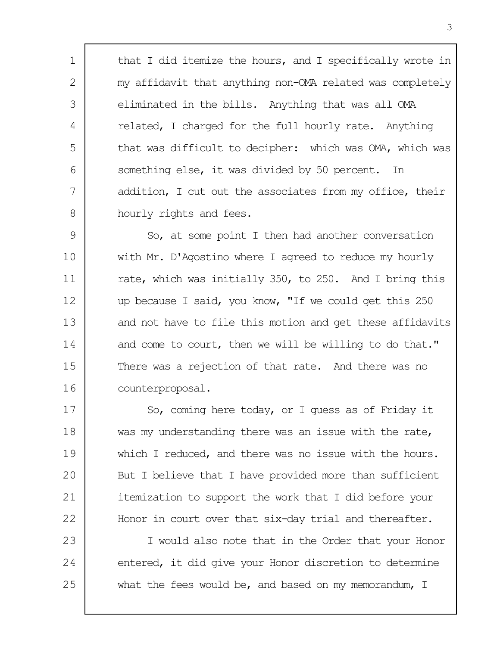that I did itemize the hours, and I specifically wrote in my affidavit that anything non-OMA related was completely eliminated in the bills. Anything that was all OMA related, I charged for the full hourly rate. Anything that was difficult to decipher: which was OMA, which was something else, it was divided by 50 percent. In addition, I cut out the associates from my office, their hourly rights and fees.

1

2

3

4

5

6

7

8

 $\mathsf{Q}$ 10 11 12 13 14 15 16 So, at some point I then had another conversation with Mr. D'Agostino where I agreed to reduce my hourly rate, which was initially 350, to 250. And I bring this up because I said, you know, "If we could get this 250 and not have to file this motion and get these affidavits and come to court, then we will be willing to do that." There was a rejection of that rate. And there was no counterproposal.

17 18 19 20 21 22 So, coming here today, or I guess as of Friday it was my understanding there was an issue with the rate, which I reduced, and there was no issue with the hours. But I believe that I have provided more than sufficient itemization to support the work that I did before your Honor in court over that six-day trial and thereafter.

23 24 25 I would also note that in the Order that your Honor entered, it did give your Honor discretion to determine what the fees would be, and based on my memorandum, I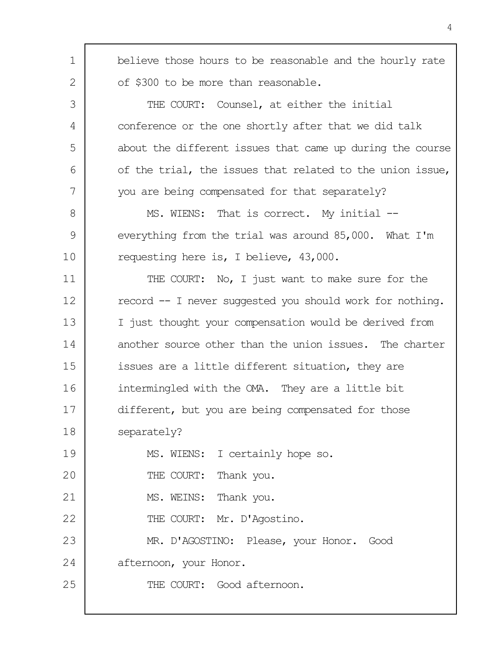| 1  | believe those hours to be reasonable and the hourly rate  |
|----|-----------------------------------------------------------|
| 2  | of \$300 to be more than reasonable.                      |
| 3  | THE COURT: Counsel, at either the initial                 |
| 4  | conference or the one shortly after that we did talk      |
| 5  | about the different issues that came up during the course |
| 6  | of the trial, the issues that related to the union issue, |
| 7  | you are being compensated for that separately?            |
| 8  | MS. WIENS: That is correct. My initial --                 |
| 9  | everything from the trial was around 85,000. What I'm     |
| 10 | requesting here is, I believe, 43,000.                    |
| 11 | THE COURT: No, I just want to make sure for the           |
| 12 | record -- I never suggested you should work for nothing.  |
| 13 | I just thought your compensation would be derived from    |
| 14 | another source other than the union issues. The charter   |
| 15 | issues are a little different situation, they are         |
| 16 | intermingled with the OMA. They are a little bit          |
| 17 | different, but you are being compensated for those        |
| 18 | separately?                                               |
| 19 | MS. WIENS: I certainly hope so.                           |
| 20 | THE COURT: Thank you.                                     |
| 21 | MS. WEINS: Thank you.                                     |
| 22 | THE COURT: Mr. D'Agostino.                                |
| 23 | MR. D'AGOSTINO: Please, your Honor. Good                  |
| 24 | afternoon, your Honor.                                    |
| 25 | THE COURT: Good afternoon.                                |
|    |                                                           |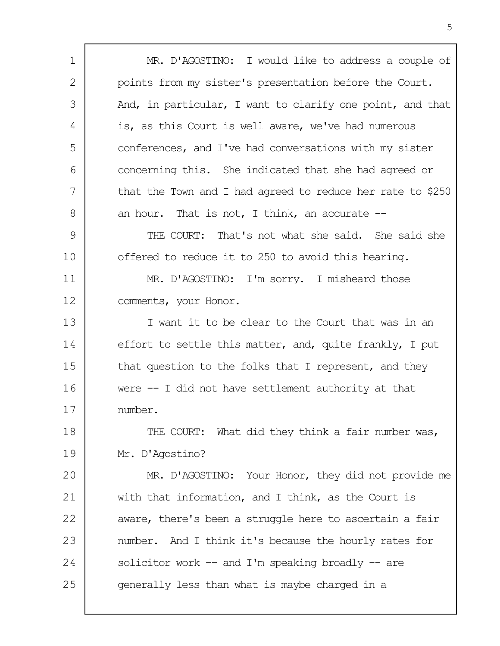| 1  | MR. D'AGOSTINO: I would like to address a couple of        |
|----|------------------------------------------------------------|
| 2  | points from my sister's presentation before the Court.     |
| 3  | And, in particular, I want to clarify one point, and that  |
| 4  | is, as this Court is well aware, we've had numerous        |
| 5  | conferences, and I've had conversations with my sister     |
| 6  | concerning this. She indicated that she had agreed or      |
| 7  | that the Town and I had agreed to reduce her rate to \$250 |
| 8  | an hour. That is not, I think, an accurate $--$            |
| 9  | THE COURT: That's not what she said. She said she          |
| 10 | offered to reduce it to 250 to avoid this hearing.         |
| 11 | MR. D'AGOSTINO: I'm sorry. I misheard those                |
| 12 | comments, your Honor.                                      |
| 13 | I want it to be clear to the Court that was in an          |
| 14 | effort to settle this matter, and, quite frankly, I put    |
| 15 | that question to the folks that I represent, and they      |
| 16 | were $-$ I did not have settlement authority at that       |
| 17 | number.                                                    |
| 18 | THE COURT: What did they think a fair number was,          |
| 19 | Mr. D'Agostino?                                            |
| 20 | MR. D'AGOSTINO: Your Honor, they did not provide me        |
| 21 | with that information, and I think, as the Court is        |
| 22 | aware, there's been a struggle here to ascertain a fair    |
| 23 | number. And I think it's because the hourly rates for      |
| 24 | solicitor work $--$ and I'm speaking broadly $--$ are      |
| 25 | generally less than what is maybe charged in a             |
|    |                                                            |

Г

٦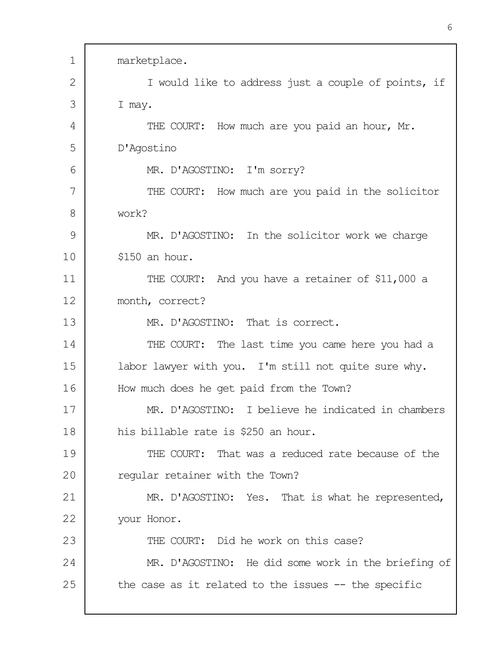| 1  | marketplace.                                          |
|----|-------------------------------------------------------|
| 2  | I would like to address just a couple of points, if   |
| 3  | I may.                                                |
| 4  | THE COURT: How much are you paid an hour, Mr.         |
| 5  | D'Agostino                                            |
| 6  | MR. D'AGOSTINO: I'm sorry?                            |
| 7  | THE COURT: How much are you paid in the solicitor     |
| 8  | work?                                                 |
| 9  | MR. D'AGOSTINO: In the solicitor work we charge       |
| 10 | \$150 an hour.                                        |
| 11 | THE COURT: And you have a retainer of \$11,000 a      |
| 12 | month, correct?                                       |
| 13 | MR. D'AGOSTINO: That is correct.                      |
| 14 | THE COURT: The last time you came here you had a      |
| 15 | labor lawyer with you. I'm still not quite sure why.  |
| 16 | How much does he get paid from the Town?              |
| 17 | MR. D'AGOSTINO: I believe he indicated in chambers    |
| 18 | his billable rate is \$250 an hour.                   |
| 19 | THE COURT: That was a reduced rate because of the     |
| 20 | regular retainer with the Town?                       |
| 21 | MR. D'AGOSTINO: Yes. That is what he represented,     |
| 22 | your Honor.                                           |
| 23 | THE COURT: Did he work on this case?                  |
| 24 | MR. D'AGOSTINO: He did some work in the briefing of   |
| 25 | the case as it related to the issues $-$ the specific |
|    |                                                       |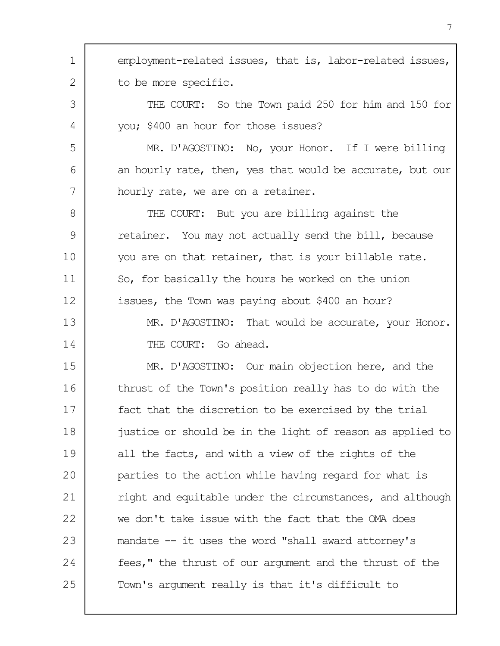1 2 3 4 5 6 7 8 9 10 11 12 13 14 15 16 17 18 19 20 21 22 23 24 25 employment-related issues, that is, labor-related issues, to be more specific. THE COURT: So the Town paid 250 for him and 150 for you; \$400 an hour for those issues? MR. D'AGOSTINO: No, your Honor. If I were billing an hourly rate, then, yes that would be accurate, but our hourly rate, we are on a retainer. THE COURT: But you are billing against the retainer. You may not actually send the bill, because you are on that retainer, that is your billable rate. So, for basically the hours he worked on the union issues, the Town was paying about \$400 an hour? MR. D'AGOSTINO: That would be accurate, your Honor. THE COURT: Go ahead. MR. D'AGOSTINO: Our main objection here, and the thrust of the Town's position really has to do with the fact that the discretion to be exercised by the trial justice or should be in the light of reason as applied to all the facts, and with a view of the rights of the parties to the action while having regard for what is right and equitable under the circumstances, and although we don't take issue with the fact that the OMA does mandate -- it uses the word "shall award attorney's fees," the thrust of our argument and the thrust of the Town's argument really is that it's difficult to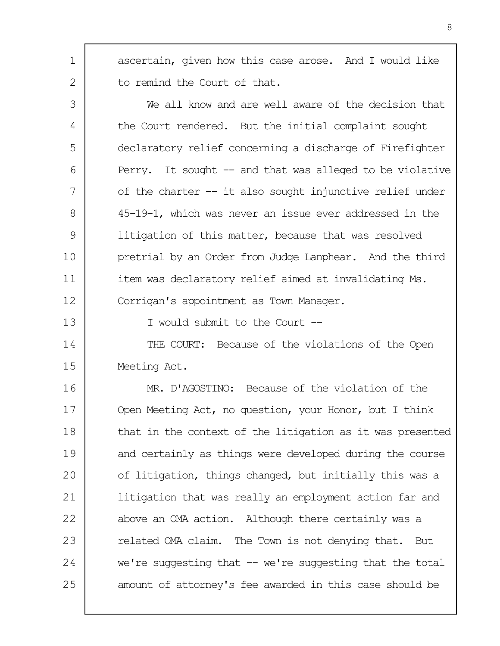ascertain, given how this case arose. And I would like to remind the Court of that.

3 4 5 6 7 8  $\mathsf{Q}$ 10 11 12 We all know and are well aware of the decision that the Court rendered. But the initial complaint sought declaratory relief concerning a discharge of Firefighter Perry. It sought -- and that was alleged to be violative of the charter -- it also sought injunctive relief under 45-19-1, which was never an issue ever addressed in the litigation of this matter, because that was resolved pretrial by an Order from Judge Lanphear. And the third item was declaratory relief aimed at invalidating Ms. Corrigan's appointment as Town Manager.

13

1

2

I would submit to the Court --

14 15 THE COURT: Because of the violations of the Open Meeting Act.

16 17 18 19 20 21 22 23 24 25 MR. D'AGOSTINO: Because of the violation of the Open Meeting Act, no question, your Honor, but I think that in the context of the litigation as it was presented and certainly as things were developed during the course of litigation, things changed, but initially this was a litigation that was really an employment action far and above an OMA action. Although there certainly was a related OMA claim. The Town is not denying that. But we're suggesting that  $-$  we're suggesting that the total amount of attorney's fee awarded in this case should be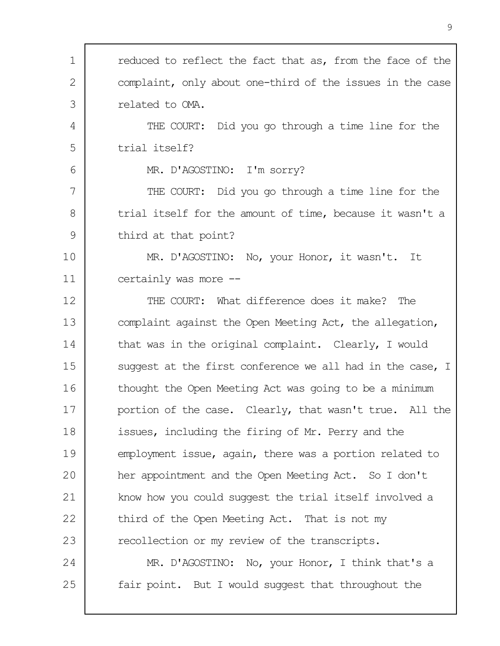| reduced to reflect the fact that as, from the face of the |
|-----------------------------------------------------------|
| complaint, only about one-third of the issues in the case |
| related to OMA.                                           |
| THE COURT: Did you go through a time line for the         |
| trial itself?                                             |
| MR. D'AGOSTINO: I'm sorry?                                |
| THE COURT: Did you go through a time line for the         |
| trial itself for the amount of time, because it wasn't a  |
| third at that point?                                      |
| MR. D'AGOSTINO: No, your Honor, it wasn't. It             |
| certainly was more --                                     |
| THE COURT: What difference does it make? The              |
| complaint against the Open Meeting Act, the allegation,   |
| that was in the original complaint. Clearly, I would      |
| suggest at the first conference we all had in the case, I |
| thought the Open Meeting Act was going to be a minimum    |
| portion of the case. Clearly, that wasn't true. All the   |
| issues, including the firing of Mr. Perry and the         |
| employment issue, again, there was a portion related to   |
| her appointment and the Open Meeting Act. So I don't      |
| know how you could suggest the trial itself involved a    |
| third of the Open Meeting Act. That is not my             |
| recollection or my review of the transcripts.             |
| MR. D'AGOSTINO: No, your Honor, I think that's a          |
| fair point. But I would suggest that throughout the       |
|                                                           |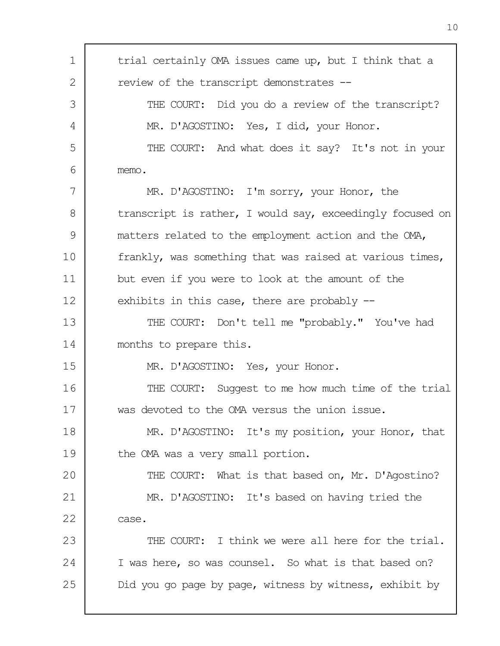| 1  | trial certainly OMA issues came up, but I think that a    |
|----|-----------------------------------------------------------|
| 2  | review of the transcript demonstrates --                  |
| 3  | THE COURT: Did you do a review of the transcript?         |
| 4  | MR. D'AGOSTINO: Yes, I did, your Honor.                   |
| 5  | THE COURT: And what does it say? It's not in your         |
| 6  | memo.                                                     |
| 7  | MR. D'AGOSTINO: I'm sorry, your Honor, the                |
| 8  | transcript is rather, I would say, exceedingly focused on |
| 9  | matters related to the employment action and the OMA,     |
| 10 | frankly, was something that was raised at various times,  |
| 11 | but even if you were to look at the amount of the         |
| 12 | exhibits in this case, there are probably $-$             |
| 13 | THE COURT: Don't tell me "probably." You've had           |
| 14 | months to prepare this.                                   |
| 15 | MR. D'AGOSTINO: Yes, your Honor.                          |
| 16 | THE COURT: Suggest to me how much time of the trial       |
| 17 | was devoted to the OMA versus the union issue             |
| 18 | MR. D'AGOSTINO: It's my position, your Honor, that        |
| 19 | the OMA was a very small portion.                         |
| 20 | THE COURT: What is that based on, Mr. D'Agostino?         |
| 21 | MR. D'AGOSTINO: It's based on having tried the            |
| 22 | case.                                                     |
| 23 | THE COURT: I think we were all here for the trial.        |
| 24 | I was here, so was counsel. So what is that based on?     |
| 25 | Did you go page by page, witness by witness, exhibit by   |
|    |                                                           |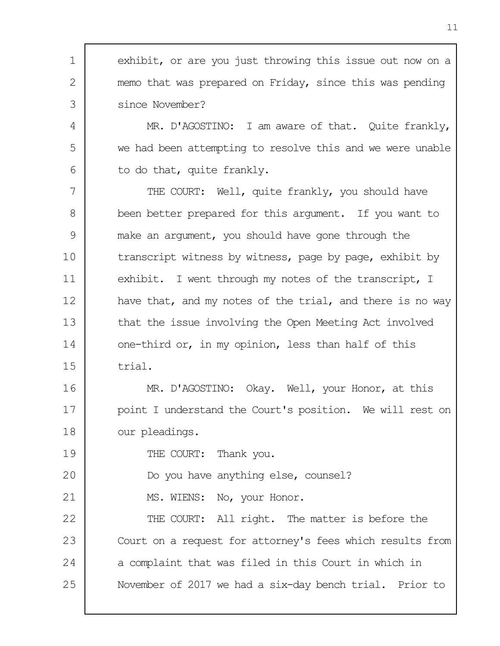1 2 3 exhibit, or are you just throwing this issue out now on a memo that was prepared on Friday, since this was pending since November?

MR. D'AGOSTINO: I am aware of that. Quite frankly, we had been attempting to resolve this and we were unable to do that, quite frankly.

7 8 9 10 11 12 13 14 15 THE COURT: Well, quite frankly, you should have been better prepared for this argument. If you want to make an argument, you should have gone through the transcript witness by witness, page by page, exhibit by exhibit. I went through my notes of the transcript, I have that, and my notes of the trial, and there is no way that the issue involving the Open Meeting Act involved one-third or, in my opinion, less than half of this trial.

16 17 18 MR. D'AGOSTINO: Okay. Well, your Honor, at this point I understand the Court's position. We will rest on our pleadings.

THE COURT: Thank you.

20 Do you have anything else, counsel?

21 MS. WIENS: No, your Honor.

4

5

6

19

22 23 24 25 THE COURT: All right. The matter is before the Court on a request for attorney's fees which results from a complaint that was filed in this Court in which in November of 2017 we had a six-day bench trial. Prior to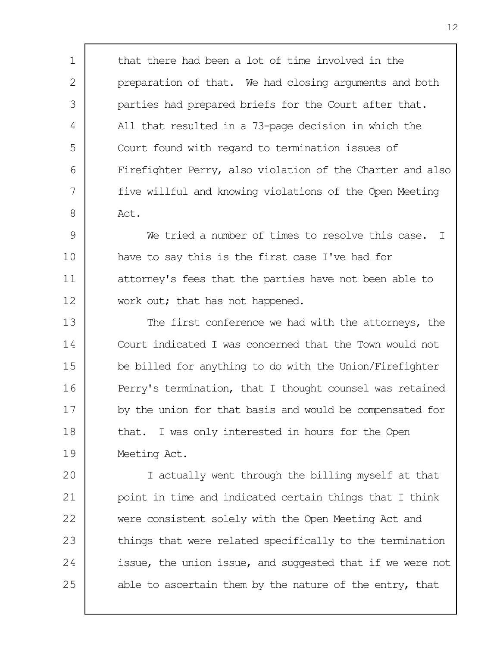that there had been a lot of time involved in the preparation of that. We had closing arguments and both parties had prepared briefs for the Court after that. All that resulted in a 73-page decision in which the Court found with regard to termination issues of Firefighter Perry, also violation of the Charter and also five willful and knowing violations of the Open Meeting Act.

1

2

3

4

5

6

7

8

 $\mathsf{Q}$ 10 11 12 We tried a number of times to resolve this case. I have to say this is the first case I've had for attorney's fees that the parties have not been able to work out; that has not happened.

13 14 15 16 17 18 19 The first conference we had with the attorneys, the Court indicated I was concerned that the Town would not be billed for anything to do with the Union/Firefighter Perry's termination, that I thought counsel was retained by the union for that basis and would be compensated for that. I was only interested in hours for the Open Meeting Act.

20 21 22 23 24 25 I actually went through the billing myself at that point in time and indicated certain things that I think were consistent solely with the Open Meeting Act and things that were related specifically to the termination issue, the union issue, and suggested that if we were not able to ascertain them by the nature of the entry, that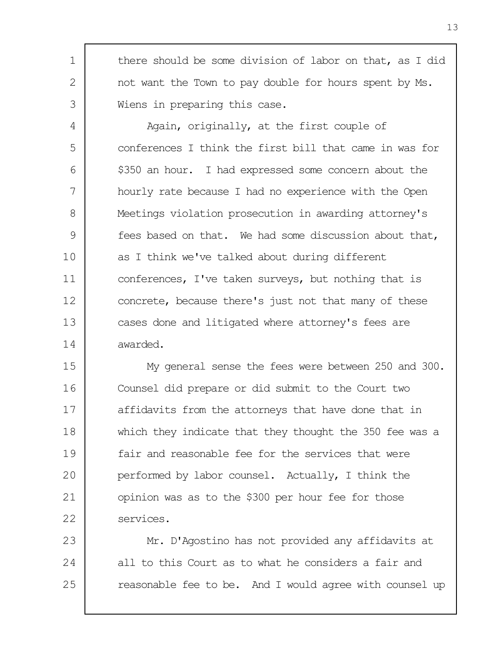there should be some division of labor on that, as I did not want the Town to pay double for hours spent by Ms. Wiens in preparing this case.

1

2

3

4 5 6 7 8  $\mathsf{Q}$ 10 11 12 13 14 Again, originally, at the first couple of conferences I think the first bill that came in was for \$350 an hour. I had expressed some concern about the hourly rate because I had no experience with the Open Meetings violation prosecution in awarding attorney's fees based on that. We had some discussion about that, as I think we've talked about during different conferences, I've taken surveys, but nothing that is concrete, because there's just not that many of these cases done and litigated where attorney's fees are awarded.

15 16 17 18 19 20 21 22 My general sense the fees were between 250 and 300. Counsel did prepare or did submit to the Court two affidavits from the attorneys that have done that in which they indicate that they thought the 350 fee was a fair and reasonable fee for the services that were performed by labor counsel. Actually, I think the opinion was as to the \$300 per hour fee for those services.

23 24 25 Mr. D'Agostino has not provided any affidavits at all to this Court as to what he considers a fair and reasonable fee to be. And I would agree with counsel up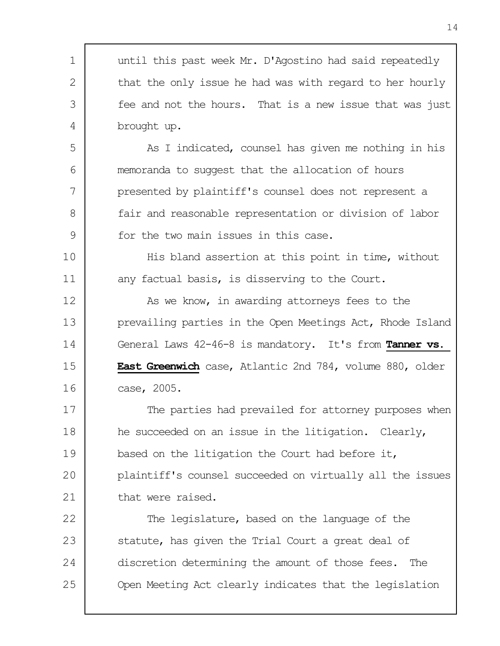1 2 3 4 5 6 7 8  $\mathsf{Q}$ 10 11 12 13 14 15 16 17 18 19 20 21 22 23 24 25 until this past week Mr. D'Agostino had said repeatedly that the only issue he had was with regard to her hourly fee and not the hours. That is a new issue that was just brought up. As I indicated, counsel has given me nothing in his memoranda to suggest that the allocation of hours presented by plaintiff's counsel does not represent a fair and reasonable representation or division of labor for the two main issues in this case. His bland assertion at this point in time, without any factual basis, is disserving to the Court. As we know, in awarding attorneys fees to the prevailing parties in the Open Meetings Act, Rhode Island General Laws 42-46-8 is mandatory. It's from **Tanner vs. East Greenwich** case, Atlantic 2nd 784, volume 880, older case, 2005. The parties had prevailed for attorney purposes when he succeeded on an issue in the litigation. Clearly, based on the litigation the Court had before it, plaintiff's counsel succeeded on virtually all the issues that were raised. The legislature, based on the language of the statute, has given the Trial Court a great deal of discretion determining the amount of those fees. The Open Meeting Act clearly indicates that the legislation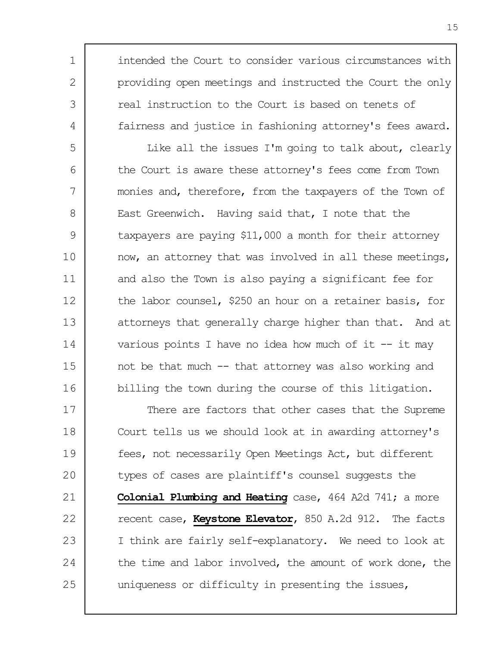intended the Court to consider various circumstances with providing open meetings and instructed the Court the only real instruction to the Court is based on tenets of fairness and justice in fashioning attorney's fees award.

1

2

3

4

5 6 7 8 9 10 11 12 13 14 15 16 Like all the issues I'm going to talk about, clearly the Court is aware these attorney's fees come from Town monies and, therefore, from the taxpayers of the Town of East Greenwich. Having said that, I note that the taxpayers are paying \$11,000 a month for their attorney now, an attorney that was involved in all these meetings, and also the Town is also paying a significant fee for the labor counsel, \$250 an hour on a retainer basis, for attorneys that generally charge higher than that. And at various points I have no idea how much of it  $-$  it may not be that much -- that attorney was also working and billing the town during the course of this litigation.

17 18 19 20 21 22 23 24 25 There are factors that other cases that the Supreme Court tells us we should look at in awarding attorney's fees, not necessarily Open Meetings Act, but different types of cases are plaintiff's counsel suggests the **Colonial Plumbing and Heating** case, 464 A2d 741; a more recent case, **Keystone Elevator**, 850 A.2d 912. The facts I think are fairly self-explanatory. We need to look at the time and labor involved, the amount of work done, the uniqueness or difficulty in presenting the issues,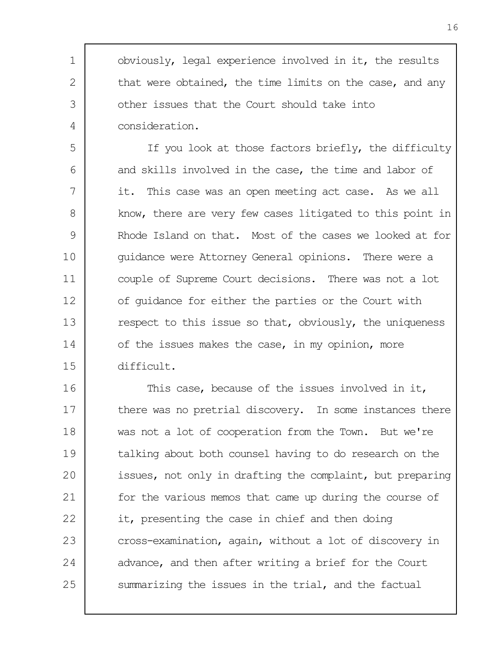obviously, legal experience involved in it, the results that were obtained, the time limits on the case, and any other issues that the Court should take into consideration.

1

2

3

4

5 6 7 8  $\mathsf{Q}$ 10 11 12 13 14 15 If you look at those factors briefly, the difficulty and skills involved in the case, the time and labor of it. This case was an open meeting act case. As we all know, there are very few cases litigated to this point in Rhode Island on that. Most of the cases we looked at for guidance were Attorney General opinions. There were a couple of Supreme Court decisions. There was not a lot of guidance for either the parties or the Court with respect to this issue so that, obviously, the uniqueness of the issues makes the case, in my opinion, more difficult.

16 17 18 19 20 21 22 23 24 25 This case, because of the issues involved in it, there was no pretrial discovery. In some instances there was not a lot of cooperation from the Town. But we're talking about both counsel having to do research on the issues, not only in drafting the complaint, but preparing for the various memos that came up during the course of it, presenting the case in chief and then doing cross-examination, again, without a lot of discovery in advance, and then after writing a brief for the Court summarizing the issues in the trial, and the factual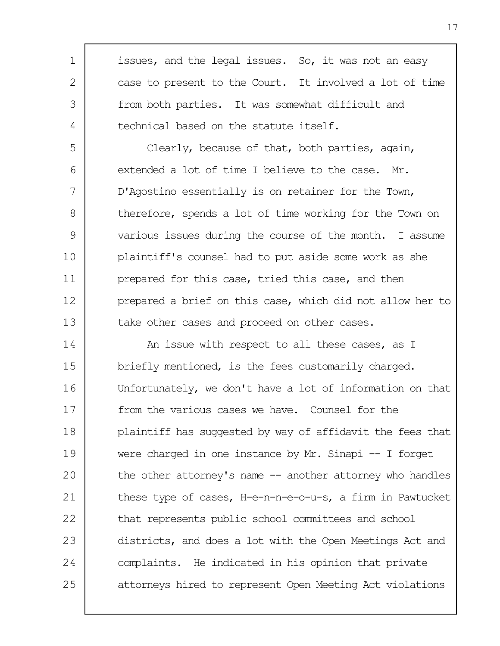issues, and the legal issues. So, it was not an easy case to present to the Court. It involved a lot of time from both parties. It was somewhat difficult and technical based on the statute itself.

1

2

3

4

5 6 7 8  $\mathsf{Q}$ 10 11 12 13 Clearly, because of that, both parties, again, extended a lot of time I believe to the case. Mr. D'Agostino essentially is on retainer for the Town, therefore, spends a lot of time working for the Town on various issues during the course of the month. I assume plaintiff's counsel had to put aside some work as she prepared for this case, tried this case, and then prepared a brief on this case, which did not allow her to take other cases and proceed on other cases.

14 15 16 17 18 19 20 21 22 23 24 25 An issue with respect to all these cases, as I briefly mentioned, is the fees customarily charged. Unfortunately, we don't have a lot of information on that from the various cases we have. Counsel for the plaintiff has suggested by way of affidavit the fees that were charged in one instance by Mr. Sinapi -- I forget the other attorney's name -- another attorney who handles these type of cases, H-e-n-n-e-o-u-s, a firm in Pawtucket that represents public school committees and school districts, and does a lot with the Open Meetings Act and complaints. He indicated in his opinion that private attorneys hired to represent Open Meeting Act violations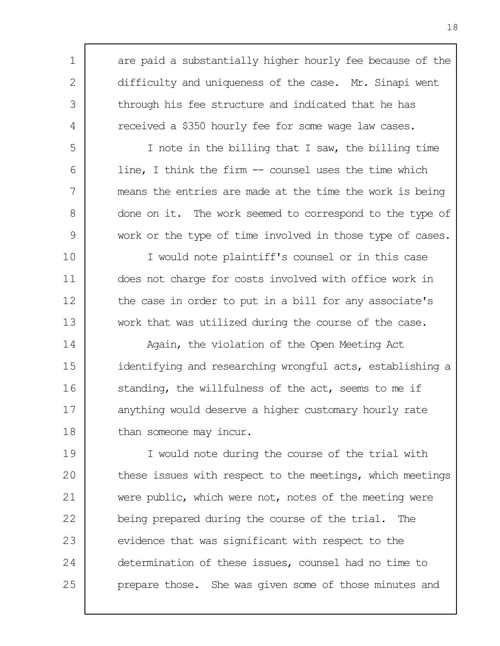are paid a substantially higher hourly fee because of the difficulty and uniqueness of the case. Mr. Sinapi went through his fee structure and indicated that he has received a \$350 hourly fee for some wage law cases.

1

2

3

4

5

6

7

8

9

I note in the billing that I saw, the billing time line, I think the firm -- counsel uses the time which means the entries are made at the time the work is being done on it. The work seemed to correspond to the type of work or the type of time involved in those type of cases.

10 11 12 13 I would note plaintiff's counsel or in this case does not charge for costs involved with office work in the case in order to put in a bill for any associate's work that was utilized during the course of the case.

14 15 16 17 18 Again, the violation of the Open Meeting Act identifying and researching wrongful acts, establishing a standing, the willfulness of the act, seems to me if anything would deserve a higher customary hourly rate than someone may incur.

19 20 21 22 23 24 25 I would note during the course of the trial with these issues with respect to the meetings, which meetings were public, which were not, notes of the meeting were being prepared during the course of the trial. The evidence that was significant with respect to the determination of these issues, counsel had no time to prepare those. She was given some of those minutes and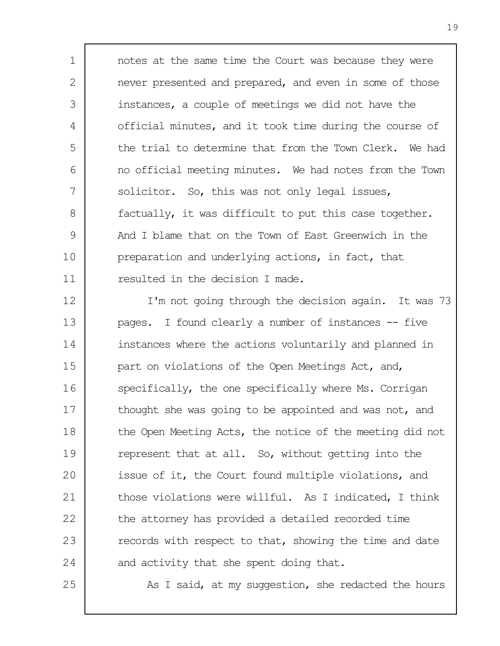1 2 3 4 5 6 7 8 9 10 11 notes at the same time the Court was because they were never presented and prepared, and even in some of those instances, a couple of meetings we did not have the official minutes, and it took time during the course of the trial to determine that from the Town Clerk. We had no official meeting minutes. We had notes from the Town solicitor. So, this was not only legal issues, factually, it was difficult to put this case together. And I blame that on the Town of East Greenwich in the preparation and underlying actions, in fact, that resulted in the decision I made.

12 13 14 15 16 17 18 19 20 21 22 23 24 I'm not going through the decision again. It was 73 pages. I found clearly a number of instances -- five instances where the actions voluntarily and planned in part on violations of the Open Meetings Act, and, specifically, the one specifically where Ms. Corrigan thought she was going to be appointed and was not, and the Open Meeting Acts, the notice of the meeting did not represent that at all. So, without getting into the issue of it, the Court found multiple violations, and those violations were willful. As I indicated, I think the attorney has provided a detailed recorded time records with respect to that, showing the time and date and activity that she spent doing that.

25

As I said, at my suggestion, she redacted the hours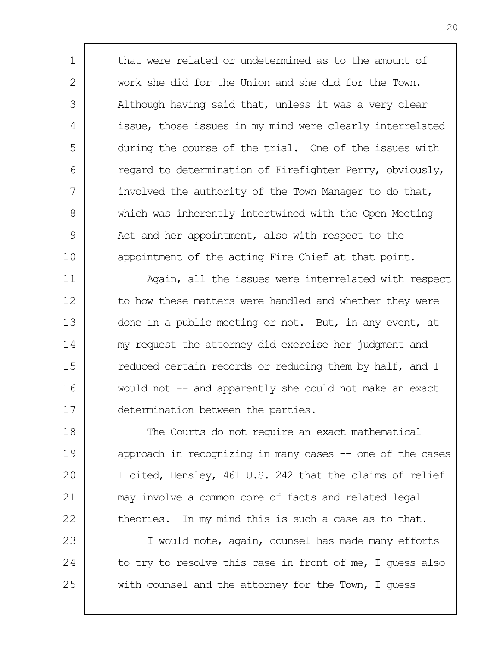that were related or undetermined as to the amount of work she did for the Union and she did for the Town. Although having said that, unless it was a very clear issue, those issues in my mind were clearly interrelated during the course of the trial. One of the issues with regard to determination of Firefighter Perry, obviously, involved the authority of the Town Manager to do that, which was inherently intertwined with the Open Meeting Act and her appointment, also with respect to the appointment of the acting Fire Chief at that point.

1

2

3

4

5

6

7

8

 $\mathsf{Q}$ 

10

11 12 13 14 15 16 17 Again, all the issues were interrelated with respect to how these matters were handled and whether they were done in a public meeting or not. But, in any event, at my request the attorney did exercise her judgment and reduced certain records or reducing them by half, and I would not -- and apparently she could not make an exact determination between the parties.

18 19 20 21 22 The Courts do not require an exact mathematical approach in recognizing in many cases -- one of the cases I cited, Hensley, 461 U.S. 242 that the claims of relief may involve a common core of facts and related legal theories. In my mind this is such a case as to that.

23 24 25 I would note, again, counsel has made many efforts to try to resolve this case in front of me, I guess also with counsel and the attorney for the Town, I quess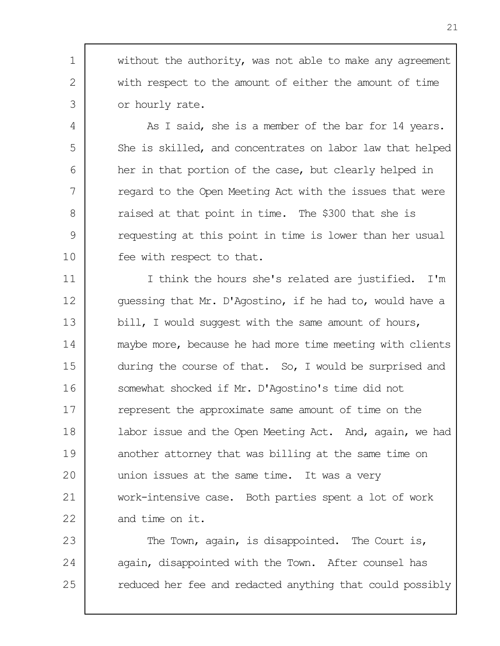1 3 without the authority, was not able to make any agreement with respect to the amount of either the amount of time or hourly rate.

2

4

5

6

7

8

9

10

As I said, she is a member of the bar for 14 years. She is skilled, and concentrates on labor law that helped her in that portion of the case, but clearly helped in regard to the Open Meeting Act with the issues that were raised at that point in time. The \$300 that she is requesting at this point in time is lower than her usual fee with respect to that.

11 12 13 14 15 16 17 18 19 20 21 22 I think the hours she's related are justified. I'm guessing that Mr. D'Agostino, if he had to, would have a bill, I would suggest with the same amount of hours, maybe more, because he had more time meeting with clients during the course of that. So, I would be surprised and somewhat shocked if Mr. D'Agostino's time did not represent the approximate same amount of time on the labor issue and the Open Meeting Act. And, again, we had another attorney that was billing at the same time on union issues at the same time. It was a very work-intensive case. Both parties spent a lot of work and time on it.

23 24 25 The Town, again, is disappointed. The Court is, again, disappointed with the Town. After counsel has reduced her fee and redacted anything that could possibly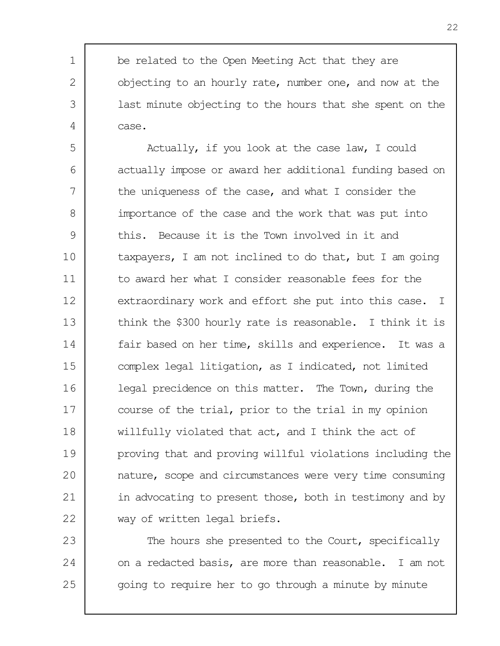be related to the Open Meeting Act that they are objecting to an hourly rate, number one, and now at the last minute objecting to the hours that she spent on the case.

1

2

3

4

5 6 7 8  $\mathsf{Q}$ 10 11 12 13 14 15 16 17 18 19 20 21 22 Actually, if you look at the case law, I could actually impose or award her additional funding based on the uniqueness of the case, and what I consider the importance of the case and the work that was put into this. Because it is the Town involved in it and taxpayers, I am not inclined to do that, but I am going to award her what I consider reasonable fees for the extraordinary work and effort she put into this case. I think the \$300 hourly rate is reasonable. I think it is fair based on her time, skills and experience. It was a complex legal litigation, as I indicated, not limited legal precidence on this matter. The Town, during the course of the trial, prior to the trial in my opinion willfully violated that act, and I think the act of proving that and proving willful violations including the nature, scope and circumstances were very time consuming in advocating to present those, both in testimony and by way of written legal briefs.

23 24 25 The hours she presented to the Court, specifically on a redacted basis, are more than reasonable. I am not going to require her to go through a minute by minute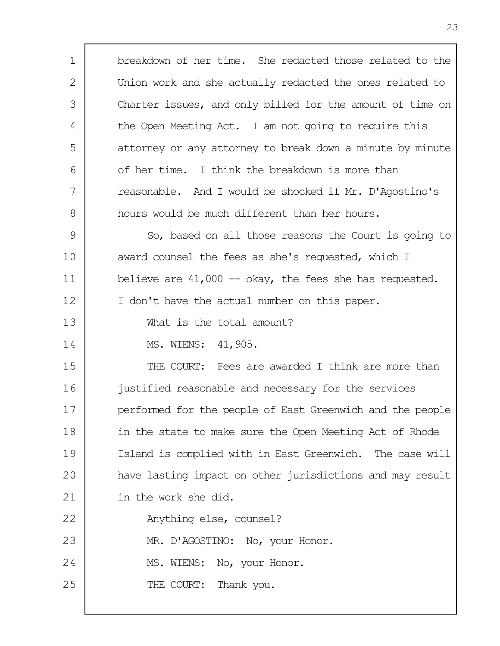1 2 3 4 5 6 7 8  $\mathsf{Q}$ 10 11 12 13 14 15 16 17 18 19 20 21 22 23 24 25 breakdown of her time. She redacted those related to the Union work and she actually redacted the ones related to Charter issues, and only billed for the amount of time on the Open Meeting Act. I am not going to require this attorney or any attorney to break down a minute by minute of her time. I think the breakdown is more than reasonable. And I would be shocked if Mr. D'Agostino's hours would be much different than her hours. So, based on all those reasons the Court is going to award counsel the fees as she's requested, which I believe are  $41,000$  -- okay, the fees she has requested. I don't have the actual number on this paper. What is the total amount? MS. WIENS: 41,905. THE COURT: Fees are awarded I think are more than justified reasonable and necessary for the services performed for the people of East Greenwich and the people in the state to make sure the Open Meeting Act of Rhode Island is complied with in East Greenwich. The case will have lasting impact on other jurisdictions and may result in the work she did. Anything else, counsel? MR. D'AGOSTINO: No, your Honor. MS. WIENS: No, your Honor. THE COURT: Thank you.